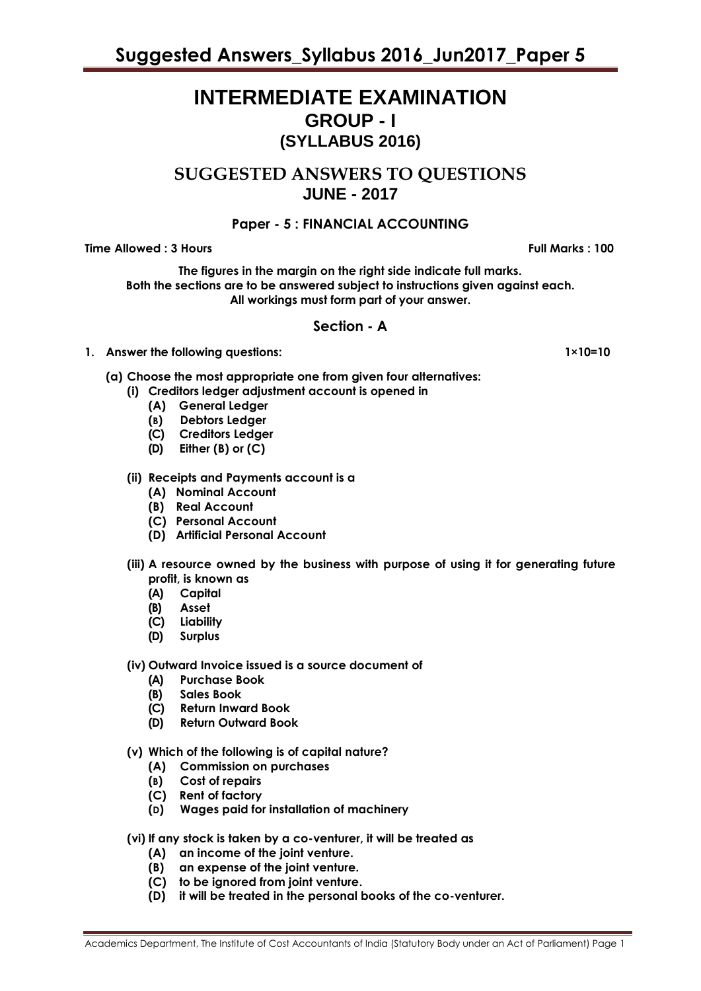# **INTERMEDIATE EXAMINATION GROUP - I (SYLLABUS 2016)**

**SUGGESTED ANSWERS TO QUESTIONS JUNE - 2017**

# **Paper - 5 : FINANCIAL ACCOUNTING**

**Time Allowed : 3 Hours Full Marks : 100**

**The figures in the margin on the right side indicate full marks. Both the sections are to be answered subject to instructions given against each. All workings must form part of your answer.**

# **Section - A**

# **1. Answer the following questions:** 1×10=10

- **(a) Choose the most appropriate one from given four alternatives:**
	- **(i) Creditors ledger adjustment account is opened in** 
		- **(A) General Ledger**
		- **(B) Debtors Ledger**
		- **(C) Creditors Ledger**
		- **(D) Either (B) or (C)**

# **(ii) Receipts and Payments account is a**

- **(A) Nominal Account**
- **(B) Real Account**
- **(C) Personal Account**
- **(D) Artificial Personal Account**
- **(iii) A resource owned by the business with purpose of using it for generating future profit, is known as**
	- **(A) Capital**
	- **(B) Asset**
	- **(C) Liability**
	- **(D) Surplus**
- **(iv) Outward Invoice issued is a source document of**
	- **(A) Purchase Book**
	- **(B) Sales Book**
	- **(C) Return Inward Book**
	- **(D) Return Outward Book**
- **(v) Which of the following is of capital nature?** 
	- **(A) Commission on purchases**
	- **(B) Cost of repairs**
	- **(C) Rent of factory**
	- **(D) Wages paid for installation of machinery**
- **(vi) If any stock is taken by a co-venturer, it will be treated as** 
	- **(A) an income of the joint venture.**
	- **(B) an expense of the joint venture.**
	- **(C) to be ignored from joint venture.**
	- **(D) it will be treated in the personal books of the co-venturer.**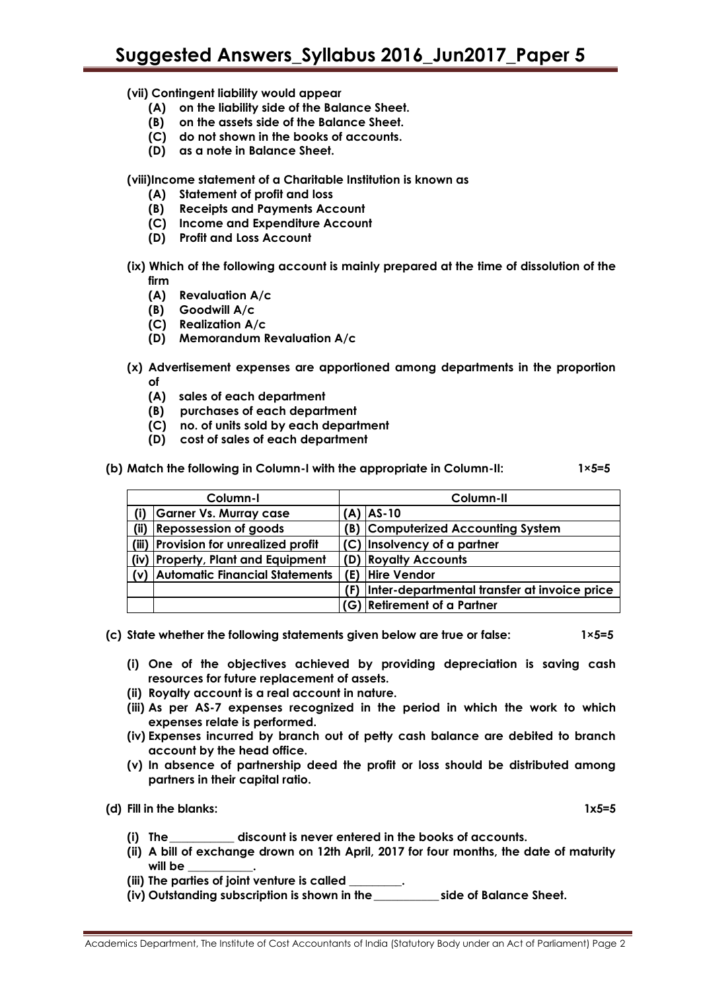# **(vii) Contingent liability would appear**

- **(A) on the liability side of the Balance Sheet.**
- **(B) on the assets side of the Balance Sheet.**
- **(C) do not shown in the books of accounts.**
- **(D) as a note in Balance Sheet.**

**(viii)Income statement of a Charitable Institution is known as**

- **(A) Statement of profit and loss**
- **(B) Receipts and Payments Account**
- **(C) Income and Expenditure Account**
- **(D) Profit and Loss Account**
- **(ix) Which of the following account is mainly prepared at the time of dissolution of the firm**
	- **(A) Revaluation A/c**
	- **(B) Goodwill A/c**
	- **(C) Realization A/c**
	- **(D) Memorandum Revaluation A/c**
- **(x) Advertisement expenses are apportioned among departments in the proportion of** 
	- **(A) sales of each department**
	- **(B) purchases of each department**
	- **(C) no. of units sold by each department**
	- **(D) cost of sales of each department**
- **(b) Match the following in Column-I with the appropriate in Column-II: 1×5=5**

| Column-I |                                       |     | Column-II                                    |  |  |
|----------|---------------------------------------|-----|----------------------------------------------|--|--|
| (i)      | <b>Garner Vs. Murray case</b>         |     | $(A)$ $AS-10$                                |  |  |
| (ii)     | <b>Repossession of goods</b>          |     | <b>B) Computerized Accounting System</b>     |  |  |
|          | (iii) Provision for unrealized profit |     | (C) Insolvency of a partner                  |  |  |
|          | (iv) Property, Plant and Equipment    |     | (D) Royalty Accounts                         |  |  |
|          | (v) Automatic Financial Statements    |     | (E) Hire Vendor                              |  |  |
|          |                                       | (F) | Inter-departmental transfer at invoice price |  |  |
|          |                                       |     | (G) Retirement of a Partner                  |  |  |

- **(c) State whether the following statements given below are true or false: 1×5=5**
	- **(i) One of the objectives achieved by providing depreciation is saving cash resources for future replacement of assets.**
	- **(ii) Royalty account is a real account in nature.**
	- **(iii) As per AS-7 expenses recognized in the period in which the work to which expenses relate is performed.**
	- **(iv) Expenses incurred by branch out of petty cash balance are debited to branch account by the head office.**
	- **(v) In absence of partnership deed the profit or loss should be distributed among partners in their capital ratio.**

**(d) Fill in the blanks: 1x5=5**

- **(i) The\_\_\_\_\_\_\_\_\_\_\_ discount is never entered in the books of accounts.**
- **(ii) A bill of exchange drown on 12th April, 2017 for four months, the date of maturity will be \_\_\_\_\_\_\_\_\_\_\_.**
- **(iii) The parties of joint venture is called \_\_\_\_\_\_\_\_\_.**
- **(iv) Outstanding subscription is shown in the\_\_\_\_\_\_\_\_\_\_\_ side of Balance Sheet.**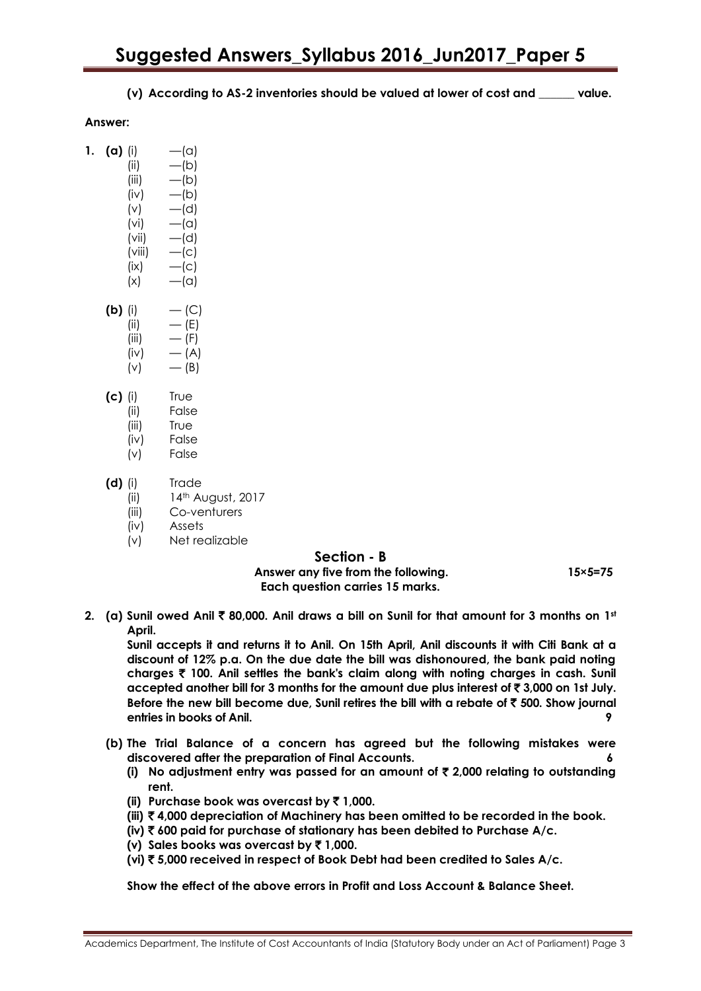**(v) According to AS-2 inventories should be valued at lower of cost and \_\_\_\_\_\_ value.**

### **Answer:**

| 1. | (a)     | (i)    | $-\alpha$ ) |
|----|---------|--------|-------------|
|    |         | (ii)   | —(b)        |
|    |         | (iii)  | —(b)        |
|    |         | (iv)   | —(b)        |
|    |         | (v)    | —(d)        |
|    |         | (vi)   | $-\alpha$   |
|    |         | (vii)  | —(d)        |
|    |         | (viii) | $-$ (c)     |
|    |         | (ix)   | $-$ (c)     |
|    |         | (x)    | $-\alpha$ ) |
|    | (b)     | (i)    | $-$ (C)     |
|    |         | (ii)   | — (E)       |
|    |         | (iii)  | — (F)       |
|    |         | (iv)   | — (A)       |
|    |         | (v)    | — (B)       |
|    | (c) (i) |        | ⊺r∪e        |

- (ii) False
	- (iii) True
	- (iv) False
	- (v) False
- **(d)** (i) Trade
	- (ii) 14th August, 2017
	- (iii) Co-venturers
	- (iv) Assets
	- (v) Net realizable

# **Section - B**

**Answer any five from the following. 15×5=75 Each question carries 15 marks.**

**2. (a) Sunil owed Anil** ` **80,000. Anil draws a bill on Sunil for that amount for 3 months on 1st April.**

**Sunil accepts it and returns it to Anil. On 15th April, Anil discounts it with Citi Bank at a discount of 12% p.a. On the due date the bill was dishonoured, the bank paid noting charges** ` **100. Anil settles the bank's claim along with noting charges in cash. Sunil accepted another bill for 3 months for the amount due plus interest of** ` **3,000 on 1st July. Before the new bill become due, Sunil retires the bill with a rebate of** ` **500. Show journal entries in books of Anil. 9**

- **(b) The Trial Balance of a concern has agreed but the following mistakes were discovered after the preparation of Final Accounts. 6**
	- **(i) No adjustment entry was passed for an amount of** ` **2,000 relating to outstanding rent.**
	- **(ii) Purchase book was overcast by** ` **1,000.**
	- **(iii)** ` **4,000 depreciation of Machinery has been omitted to be recorded in the book.**
	- **(iv)** ` **600 paid for purchase of stationary has been debited to Purchase A/c.**
	- **(v) Sales books was overcast by** ` **1,000.**
	- **(vi)** ` **5,000 received in respect of Book Debt had been credited to Sales A/c.**

**Show the effect of the above errors in Profit and Loss Account & Balance Sheet.**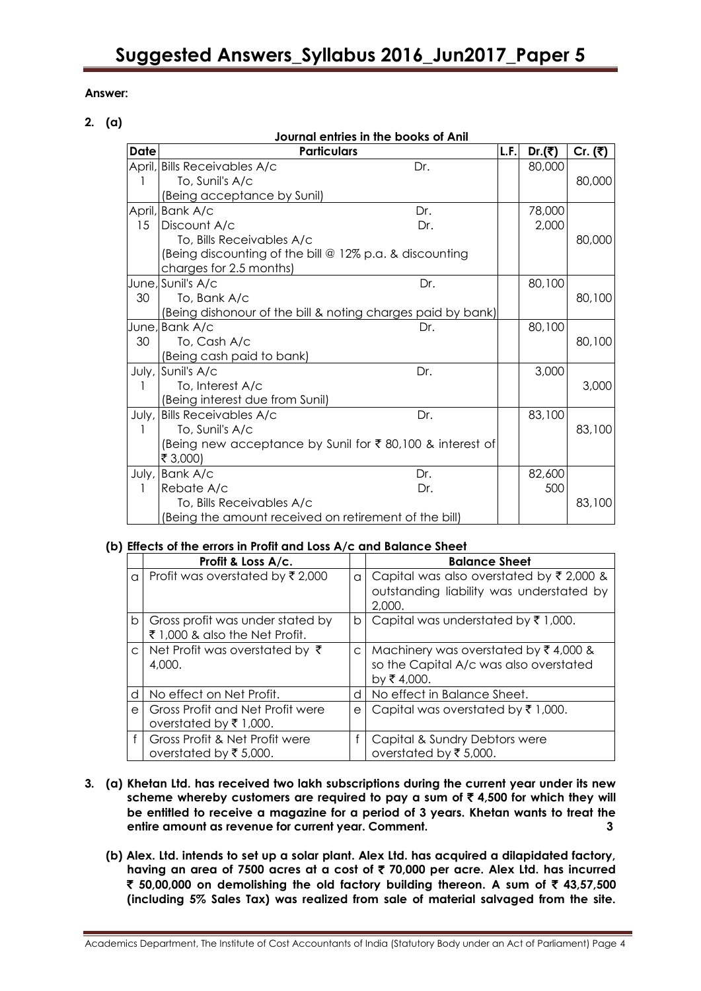# **Answer:**

# **2. (a)**

| Journal entries in the books of Anil |                                                             |     |      |        |           |  |  |
|--------------------------------------|-------------------------------------------------------------|-----|------|--------|-----------|--|--|
| <b>Date</b>                          | <b>Particulars</b>                                          |     | L.F. | Dr.(₹) | Cr. $(3)$ |  |  |
|                                      | April, Bills Receivables A/c                                | Dr. |      | 80,000 |           |  |  |
|                                      | To, Sunil's A/c                                             |     |      |        | 80,000    |  |  |
|                                      | (Being acceptance by Sunil)                                 |     |      |        |           |  |  |
|                                      | April, Bank A/c                                             | Dr. |      | 78,000 |           |  |  |
| 15                                   | Discount A/c                                                | Dr. |      | 2,000  |           |  |  |
|                                      | To, Bills Receivables A/c                                   |     |      |        | 80,000    |  |  |
|                                      | (Being discounting of the bill @ 12% p.a. & discounting     |     |      |        |           |  |  |
|                                      | charges for 2.5 months)                                     |     |      |        |           |  |  |
|                                      | June, Sunil's A/c                                           | Dr. |      | 80,100 |           |  |  |
| 30                                   | To, Bank A/c                                                |     |      |        | 80,100    |  |  |
|                                      | (Being dishonour of the bill & noting charges paid by bank) |     |      |        |           |  |  |
|                                      | June, Bank A/c                                              | Dr. |      | 80,100 |           |  |  |
| 30                                   | To, Cash A/c                                                |     |      |        | 80,100    |  |  |
|                                      | (Being cash paid to bank)                                   |     |      |        |           |  |  |
|                                      | July, Sunil's A/c                                           | Dr. |      | 3,000  |           |  |  |
|                                      | To, Interest A/c                                            |     |      |        | 3,000     |  |  |
|                                      | (Being interest due from Sunil)                             |     |      |        |           |  |  |
| July,                                | <b>Bills Receivables A/c</b>                                | Dr. |      | 83,100 |           |  |  |
|                                      | To, Sunil's A/c                                             |     |      |        | 83,100    |  |  |
|                                      | (Being new acceptance by Sunil for ₹80,100 & interest of    |     |      |        |           |  |  |
|                                      | ₹ 3,000)                                                    |     |      |        |           |  |  |
|                                      | July, Bank A/c                                              | Dr. |      | 82,600 |           |  |  |
|                                      | Rebate A/c                                                  | Dr. |      | 500    |           |  |  |
|                                      | To, Bills Receivables A/c                                   |     |      |        | 83,100    |  |  |
|                                      | (Being the amount received on retirement of the bill)       |     |      |        |           |  |  |

# **(b) Effects of the errors in Profit and Loss A/c and Balance Sheet**

|          | Profit & Loss A/c.                                                 |              | <b>Balance Sheet</b>                                                                                          |
|----------|--------------------------------------------------------------------|--------------|---------------------------------------------------------------------------------------------------------------|
| a        | Profit was overstated by ₹2,000                                    | $\alpha$     | Capital was also overstated by $\overline{\xi}$ 2,000 &<br>outstanding liability was understated by<br>2,000. |
| b        | Gross profit was under stated by<br>₹ 1,000 & also the Net Profit. | b            | Capital was understated by $\overline{\tau}$ 1,000.                                                           |
|          | c Net Profit was overstated by $\bar{\tau}$<br>4,000.              | $\mathsf{C}$ | Machinery was overstated by $\bar{\xi}$ 4,000 &<br>so the Capital A/c was also overstated<br>by ₹4,000.       |
| d        | No effect on Net Profit.                                           | d            | No effect in Balance Sheet.                                                                                   |
| $\Theta$ | Gross Profit and Net Profit were<br>overstated by ₹1,000.          | e            | Capital was overstated by $\bar{\tau}$ 1,000.                                                                 |
|          | Gross Profit & Net Profit were<br>overstated by ₹5,000.            |              | Capital & Sundry Debtors were<br>overstated by ₹ 5,000.                                                       |

- **3. (a) Khetan Ltd. has received two lakh subscriptions during the current year under its new**  scheme whereby customers are required to pay a sum of  $\bar{\tau}$  4,500 for which they will **be entitled to receive a magazine for a period of 3 years. Khetan wants to treat the entire amount as revenue for current year. Comment. 3**
	- **(b) Alex. Ltd. intends to set up a solar plant. Alex Ltd. has acquired a dilapidated factory, having an area of 7500 acres at a cost of** ` **70,000 per acre. Alex Ltd. has incurred**  ` **50,00,000 on demolishing the old factory building thereon. A sum of** ` **43,57,500 (including 5% Sales Tax) was realized from sale of material salvaged from the site.**

Academics Department, The Institute of Cost Accountants of India (Statutory Body under an Act of Parliament) Page 4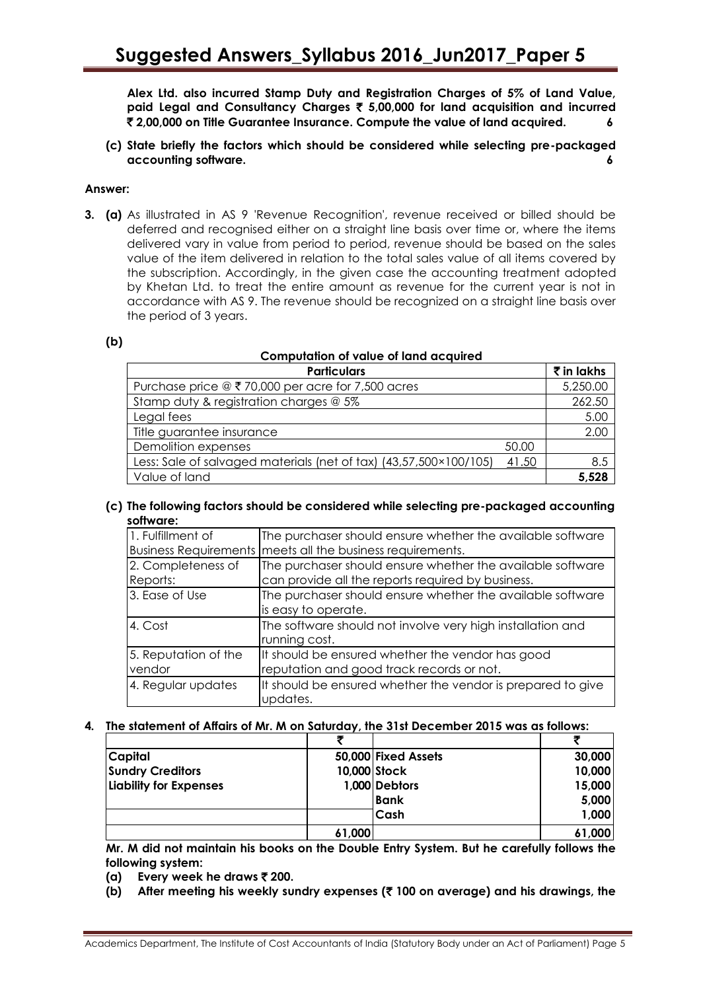**Alex Ltd. also incurred Stamp Duty and Registration Charges of 5% of Land Value, paid Legal and Consultancy Charges** ` **5,00,000 for land acquisition and incurred**  ` **2,00,000 on Title Guarantee Insurance. Compute the value of land acquired. 6**

**(c) State briefly the factors which should be considered while selecting pre-packaged accounting software. 6**

### **Answer:**

**3. (a)** As illustrated in AS 9 'Revenue Recognition', revenue received or billed should be deferred and recognised either on a straight line basis over time or, where the items delivered vary in value from period to period, revenue should be based on the sales value of the item delivered in relation to the total sales value of all items covered by the subscription. Accordingly, in the given case the accounting treatment adopted by Khetan Ltd. to treat the entire amount as revenue for the current year is not in accordance with AS 9. The revenue should be recognized on a straight line basis over the period of 3 years.

#### **(b)**

# **Computation of value of land acquired**

| <b>Particulars</b>                                                 |       | ₹ in lakhs |
|--------------------------------------------------------------------|-------|------------|
| Purchase price $\textcircled{2}$ ₹ 70,000 per acre for 7,500 acres |       | 5,250.00   |
| Stamp duty & registration charges @ 5%                             |       | 262.50     |
| Legal fees                                                         |       | 5.00       |
| Title guarantee insurance                                          |       | 2.00       |
| Demolition expenses                                                | 50.00 |            |
| Less: Sale of salvaged materials (net of tax) (43,57,500×100/105)  | 41.50 | 8.5        |
| Value of land                                                      |       | 5,528      |

#### **(c) The following factors should be considered while selecting pre-packaged accounting software:**

| 1. Fulfillment of              | The purchaser should ensure whether the available software<br>Business Requirements   meets all the business requirements. |
|--------------------------------|----------------------------------------------------------------------------------------------------------------------------|
| 2. Completeness of<br>Reports: | The purchaser should ensure whether the available software<br>can provide all the reports required by business.            |
| 3. Ease of Use                 | The purchaser should ensure whether the available software<br>is easy to operate.                                          |
| 4. Cost                        | The software should not involve very high installation and<br>running cost.                                                |
| 5. Reputation of the<br>vendor | It should be ensured whether the vendor has good<br>reputation and good track records or not.                              |
| 4. Regular updates             | It should be ensured whether the vendor is prepared to give<br>updates.                                                    |

# **4. The statement of Affairs of Mr. M on Saturday, the 31st December 2015 was as follows:**

|                         | ヺ      |                     |        |
|-------------------------|--------|---------------------|--------|
| <b>Capital</b>          |        | 50,000 Fixed Assets | 30,000 |
| <b>Sundry Creditors</b> |        | 10,000 Stock        | 10,000 |
| Liability for Expenses  |        | 1,000 Debtors       | 15,000 |
|                         |        | <b>Bank</b>         | 5,000  |
|                         |        | Cash                | 1,000  |
|                         | 61,000 |                     | 61,000 |

**Mr. M did not maintain his books on the Double Entry System. But he carefully follows the following system:**

- **(a) Every week he draws** ` **200.**
- **(b) After meeting his weekly sundry expenses (**` **100 on average) and his drawings, the**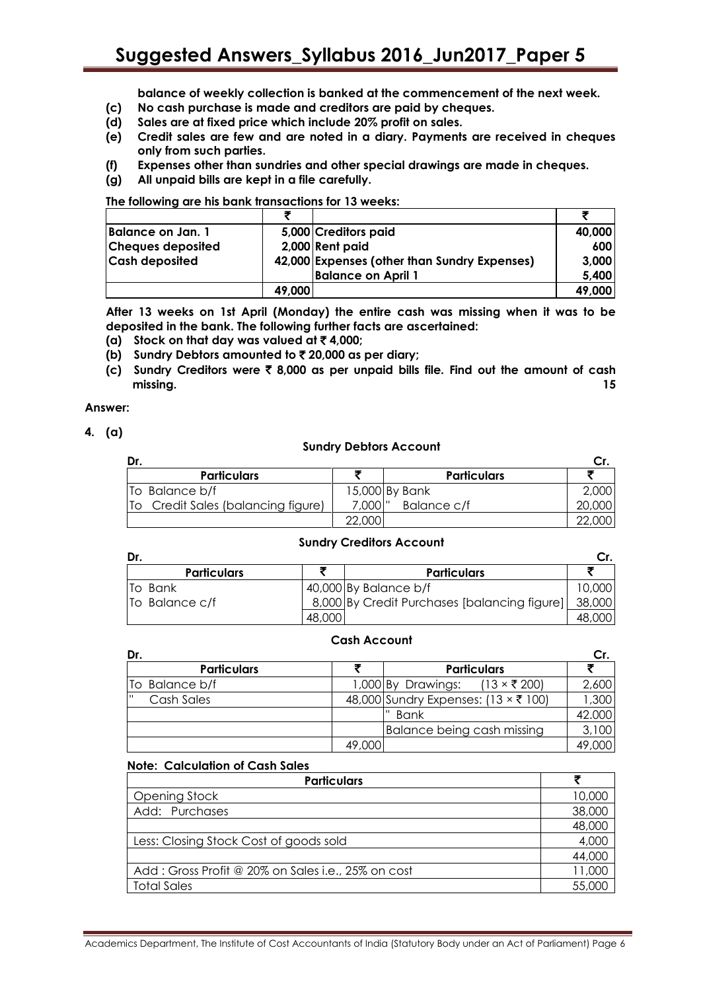**balance of weekly collection is banked at the commencement of the next week.**

- **(c) No cash purchase is made and creditors are paid by cheques.**
- **(d) Sales are at fixed price which include 20% profit on sales.**
- **(e) Credit sales are few and are noted in a diary. Payments are received in cheques only from such parties.**
- **(f) Expenses other than sundries and other special drawings are made in cheques.**
- **(g) All unpaid bills are kept in a file carefully.**

**The following are his bank transactions for 13 weeks:**

|                          | ₹      |                                              |        |
|--------------------------|--------|----------------------------------------------|--------|
| Balance on Jan. 1        |        | 5,000 Creditors paid                         | 40,000 |
| <b>Cheques deposited</b> |        | 2,000 Rent paid                              | 600    |
| <b>Cash deposited</b>    |        | 42,000 Expenses (other than Sundry Expenses) | 3,000  |
|                          |        | <b>Balance on April 1</b>                    | 5,400  |
|                          | 49,000 |                                              | 49,000 |

**After 13 weeks on 1st April (Monday) the entire cash was missing when it was to be deposited in the bank. The following further facts are ascertained:**

- **(a) Stock on that day was valued at** ` **4,000;**
- **(b) Sundry Debtors amounted to** ` **20,000 as per diary;**
- **(c) Sundry Creditors were** ` **8,000 as per unpaid bills file. Find out the amount of cash missing. 15**

#### **Answer:**

**4. (a)**

#### **Sundry Debtors Account**

| Dr.                                   |           |                    |  |
|---------------------------------------|-----------|--------------------|--|
| <b>Particulars</b>                    |           | <b>Particulars</b> |  |
| To Balance b/f                        |           | 15,000 By Bank     |  |
| Credit Sales (balancing figure)<br>To | 7,000   " | Balance c/f        |  |
|                                       | 22.000    |                    |  |

# **Sundry Creditors Account**

| Dr.                |        |                                              |        |
|--------------------|--------|----------------------------------------------|--------|
| <b>Particulars</b> |        | <b>Particulars</b>                           |        |
| <b>To Bank</b>     |        | 40,000 By Balance b/f                        | 10,000 |
| To Balance c/f     |        | 8,000 By Credit Purchases [balancing figure] | 38,000 |
|                    | 48,000 |                                              | 48,000 |

#### **Cash Account**

| Dr.                |        |                                                      | Cr.    |
|--------------------|--------|------------------------------------------------------|--------|
| <b>Particulars</b> |        | <b>Particulars</b>                                   |        |
| To Balance b/f     |        | $(13 \times \overline{5} 200)$<br>1,000 By Drawings: | 2,600  |
| Cash Sales         |        | 48,000 Sundry Expenses: (13 × ₹ 100)                 | 1,300  |
|                    |        | l" Bank                                              | 42.000 |
|                    |        | Balance being cash missing                           | 3,100  |
|                    | 49,000 |                                                      | 49,000 |

#### **Note: Calculation of Cash Sales**

| <b>Particulars</b>                                 |        |
|----------------------------------------------------|--------|
| Opening Stock                                      | 10,000 |
| Add: Purchases                                     | 38,000 |
|                                                    | 48,000 |
| Less: Closing Stock Cost of goods sold             |        |
|                                                    | 44,000 |
| Add: Gross Profit @ 20% on Sales i.e., 25% on cost | 11,000 |
| <b>Total Sales</b>                                 | 55,000 |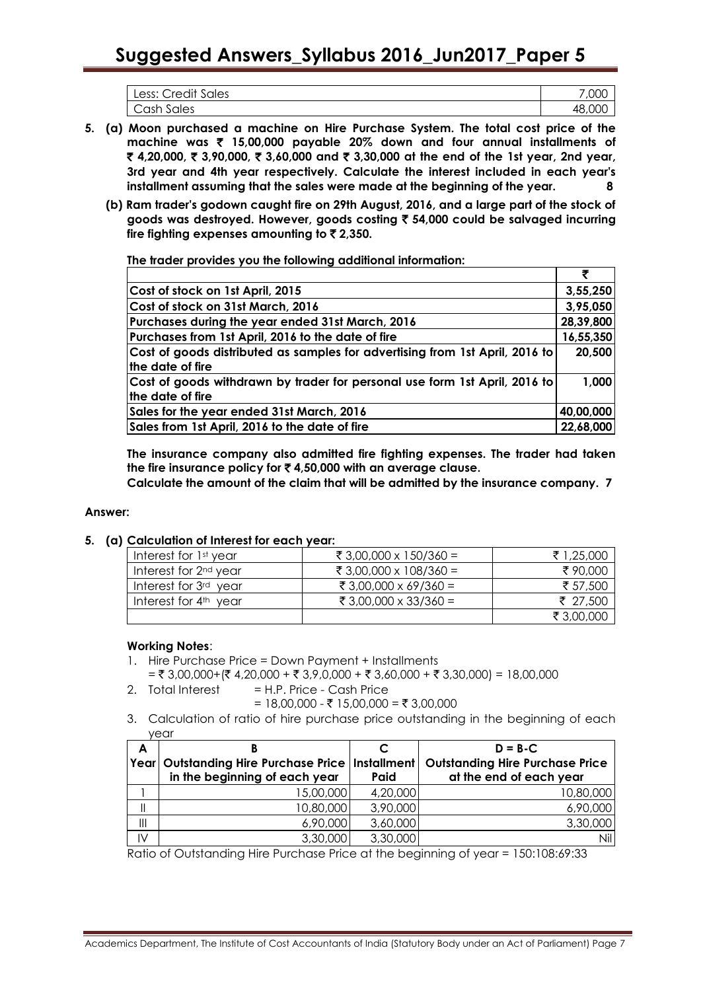| <b>Credit Sales</b><br>Less: | .00C   |
|------------------------------|--------|
| Cash<br>Sales                | 48,000 |

- **5. (a) Moon purchased a machine on Hire Purchase System. The total cost price of the machine was** ` **15,00,000 payable 20% down and four annual installments of**  ` **4,20,000,** ` **3,90,000,** ` **3,60,000 and** ` **3,30,000 at the end of the 1st year, 2nd year, 3rd year and 4th year respectively. Calculate the interest included in each year's installment assuming that the sales were made at the beginning of the year. 8**
	- **(b) Ram trader's godown caught fire on 29th August, 2016, and a large part of the stock of goods was destroyed. However, goods costing** ` **54,000 could be salvaged incurring**  fire fighting expenses amounting to ₹2,350.

**The trader provides you the following additional information:**

| Cost of stock on 1st April, 2015                                             | 3,55,250  |
|------------------------------------------------------------------------------|-----------|
| Cost of stock on 31st March, 2016                                            | 3,95,050  |
| Purchases during the year ended 31st March, 2016                             | 28,39,800 |
| Purchases from 1st April, 2016 to the date of fire                           | 16,55,350 |
| Cost of goods distributed as samples for advertising from 1st April, 2016 to | 20,500    |
| the date of fire                                                             |           |
| Cost of goods withdrawn by trader for personal use form 1st April, 2016 to   | 1,000     |
| the date of fire                                                             |           |
| Sales for the year ended 31st March, 2016                                    | 40,00,000 |
| Sales from 1st April, 2016 to the date of fire                               | 22,68,000 |

**The insurance company also admitted fire fighting expenses. The trader had taken the fire insurance policy for** ` **4,50,000 with an average clause.**

**Calculate the amount of the claim that will be admitted by the insurance company. 7**

# **Answer:**

**5. (a) Calculation of Interest for each year:**

| Interest for 1st year             | ₹ 3,00,000 x 150/360 = | ₹ 1,25,000 |
|-----------------------------------|------------------------|------------|
| Interest for 2 <sup>nd</sup> year | ₹ 3,00,000 x 108/360 = | ₹90,000    |
| Interest for 3 <sup>rd</sup> year | ₹ 3,00,000 x 69/360 =  | ₹ 57,500   |
| Interest for $4th$ year           | ₹ 3,00,000 x 33/360 =  | ₹ 27,500   |
|                                   |                        | ₹ 3,00,000 |

# **Working Notes**:

- 1. Hire Purchase Price = Down Payment + Installments
- $=$  ₹ 3,00,000+(₹ 4,20,000 + ₹ 3,9,0,000 + ₹ 3,60,000 + ₹ 3,30,000) = 18,00,000
- 2. Total Interest  $= H.P.$  Price Cash Price
	- $= 18,00,000 \xi 15,00,000 = \xi 3,00,000$
- 3. Calculation of ratio of hire purchase price outstanding in the beginning of each year

| A                                     |                                                     |          | $D = B - C$                            |
|---------------------------------------|-----------------------------------------------------|----------|----------------------------------------|
|                                       | Year  Outstanding Hire Purchase Price   Installment |          | <b>Outstanding Hire Purchase Price</b> |
|                                       | in the beginning of each year                       | Paid     | at the end of each year                |
|                                       | 15,00,000                                           | 4,20,000 | 10,80,000                              |
|                                       | 10,80,000                                           | 3,90,000 | 6,90,000                               |
| $\begin{array}{c} \hline \end{array}$ | 6,90,000                                            | 3,60,000 | 3,30,000                               |
| IV                                    | 3,30,000                                            | 3,30,000 | Nil                                    |

Ratio of Outstanding Hire Purchase Price at the beginning of year = 150:108:69:33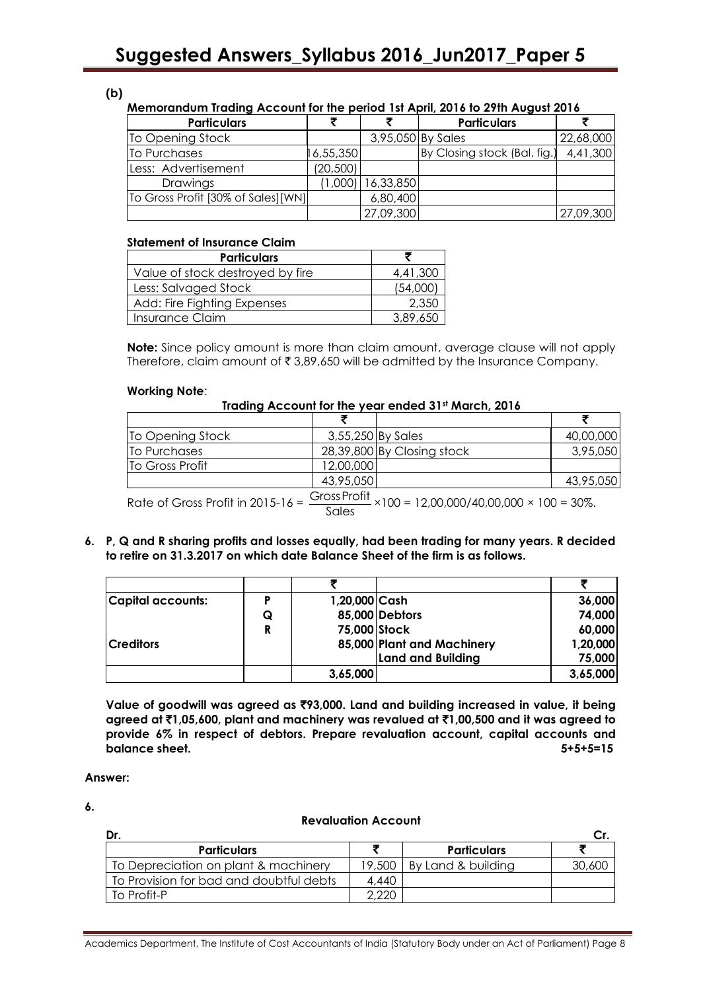**(b)**

# **Memorandum Trading Account for the period 1st April, 2016 to 29th August 2016**

| <b>Particulars</b>                  |           |           | <b>Particulars</b>           |           |
|-------------------------------------|-----------|-----------|------------------------------|-----------|
| To Opening Stock                    |           |           | 3,95,050 By Sales            | 22,68,000 |
| To Purchases                        | 16,55,350 |           | By Closing stock (Bal. fig.) | 4,41,300  |
| Less: Advertisement                 | (20, 500) |           |                              |           |
| Drawings                            | (1,000)   | 16,33,850 |                              |           |
| To Gross Profit [30% of Sales] [WN] |           | 6,80,400  |                              |           |
|                                     |           | 27,09,300 |                              | 27,09,300 |

# **Statement of Insurance Claim**

| <b>Particulars</b>               |          |
|----------------------------------|----------|
| Value of stock destroyed by fire | 4,41,300 |
| Less: Salvaged Stock             | (54,000) |
| Add: Fire Fighting Expenses      | 2,350    |
| Insurance Claim                  | 3,89,650 |

**Note:** Since policy amount is more than claim amount, average clause will not apply Therefore, claim amount of  $\bar{\tau}$  3,89,650 will be admitted by the Insurance Company.

#### **Working Note**:

# **Trading Account for the year ended 31st March, 2016**

| To Opening Stock |               | 3,55,250 By Sales          | 40,00,000 |
|------------------|---------------|----------------------------|-----------|
| To Purchases     |               | 28,39,800 By Closing stock | 3,95,050  |
| To Gross Profit  | 12,00,000     |                            |           |
|                  | 43,95,050     |                            | 43,95,050 |
|                  | $\sim$ $\sim$ |                            |           |

Rate of Gross Profit in 2015-16 =  $\frac{\text{Gross Profit}}{\text{Gauss}}$ Sales ×100 = 12,00,000/40,00,000 × 100 = 30%.

**6. P, Q and R sharing profits and losses equally, had been trading for many years. R decided to retire on 31.3.2017 on which date Balance Sheet of the firm is as follows.**

| <b>Capital accounts:</b> |   | 1,20,000 Cash |                            | 36,000   |
|--------------------------|---|---------------|----------------------------|----------|
|                          | Q |               | 85,000 Debtors             | 74,000   |
|                          | R | 75,000 Stock  |                            | 60,000   |
| <b>Creditors</b>         |   |               | 85,000 Plant and Machinery | 1,20,000 |
|                          |   |               | <b>Land and Building</b>   | 75,000   |
|                          |   | 3,65,000      |                            | 3,65,000 |

**Value of goodwill was agreed as** `**93,000. Land and building increased in value, it being agreed at** `**1,05,600, plant and machinery was revalued at** `**1,00,500 and it was agreed to provide 6% in respect of debtors. Prepare revaluation account, capital accounts and balance sheet. 5+5+5=15**

#### **Answer:**

**6.**

### **Revaluation Account**

| Dr.                                     |        |                    |        |
|-----------------------------------------|--------|--------------------|--------|
| <b>Particulars</b>                      |        | <b>Particulars</b> |        |
| To Depreciation on plant & machinery    | 19,500 | By Land & building | 30,600 |
| To Provision for bad and doubtful debts | 4.440  |                    |        |
| l To Profit-P                           | 2.220  |                    |        |

Academics Department, The Institute of Cost Accountants of India (Statutory Body under an Act of Parliament) Page 8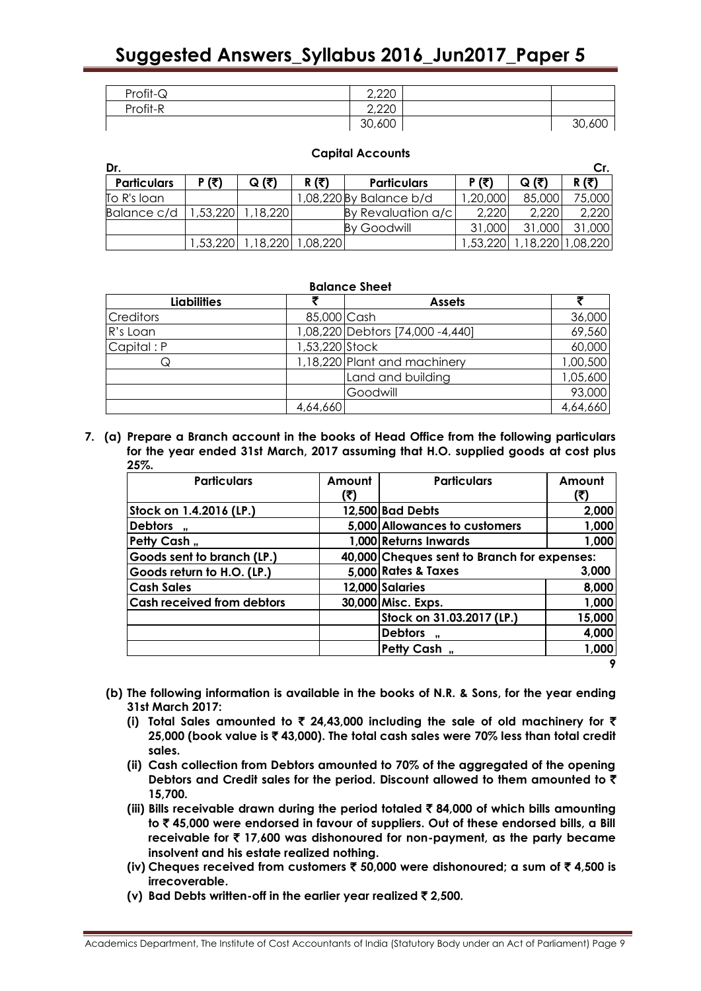| Profit-Q | 2,220  |        |
|----------|--------|--------|
| Profit-R | 2,220  |        |
|          | 30,600 | 30,600 |

| Capital ACCOUNTS                  |       |                 |       |                         |              |        |        |
|-----------------------------------|-------|-----------------|-------|-------------------------|--------------|--------|--------|
| Dr.                               |       |                 |       |                         |              |        | Cr.    |
| <b>Particulars</b>                | P (₹) | $Q(\bar{\tau})$ | R (₹) | <b>Particulars</b>      | <b>P</b> (₹) | Q (₹)  | R (₹)  |
| To R's loan-                      |       |                 |       | 1,08,220 By Balance b/d | 1,20,000     | 85,000 | 75,000 |
| Balance c/d   1,53,220   1,18,220 |       |                 |       | By Revaluation a/c      | 2,220        | 2,220  | 2,220  |

# **Capital Accounts**

1,53,220 1,18,220 1,08,220 1,53,220 1,18,220 1,08,220

By Goodwill 31,000 31,000 31,000

| <b>Balance Sheet</b> |                |                                  |          |  |  |
|----------------------|----------------|----------------------------------|----------|--|--|
| <b>Liabilities</b>   |                | <b>Assets</b>                    |          |  |  |
| <b>Creditors</b>     | 85,000 Cash    |                                  | 36,000   |  |  |
| R's Loan             |                | 1,08,220 Debtors [74,000 -4,440] | 69,560   |  |  |
| Capital: P           | 1,53,220 Stock |                                  | 60,000   |  |  |
| Q                    |                | 1,18,220 Plant and machinery     | 1,00,500 |  |  |
|                      |                | Land and building                | 1,05,600 |  |  |
|                      |                | Goodwill                         | 93,000   |  |  |
|                      | 4,64,660       |                                  | 4,64,660 |  |  |

**7. (a) Prepare a Branch account in the books of Head Office from the following particulars for the year ended 31st March, 2017 assuming that H.O. supplied goods at cost plus 25%.**

| <b>Particulars</b>                | Amount<br>(₹) | <b>Particulars</b>                          | Amount |  |
|-----------------------------------|---------------|---------------------------------------------|--------|--|
| Stock on 1.4.2016 (LP.)           |               | 12,500 Bad Debts                            | 2,000  |  |
| <b>Debtors</b><br>$\cdot$         |               | 5,000 Allowances to customers               | 1,000  |  |
| Petty Cash,                       |               | 1,000 Returns Inwards                       | 1,000  |  |
| Goods sent to branch (LP.)        |               | 40,000 Cheques sent to Branch for expenses: |        |  |
| Goods return to H.O. (LP.)        |               | 5,000 Rates & Taxes                         | 3,000  |  |
| <b>Cash Sales</b>                 |               | 12,000 Salaries                             | 8,000  |  |
| <b>Cash received from debtors</b> |               | 30,000 Misc. Exps.                          | 1,000  |  |
|                                   |               | Stock on 31.03.2017 (LP.)                   | 15,000 |  |
|                                   |               | <b>Debtors</b>                              | 4,000  |  |
|                                   |               | Petty Cash,                                 | 1,000  |  |
|                                   |               |                                             | 9      |  |

- **(b) The following information is available in the books of N.R. & Sons, for the year ending 31st March 2017:**
	- **(i) Total Sales amounted to** ` **24,43,000 including the sale of old machinery for** ` **25,000 (book value is** ` **43,000). The total cash sales were 70% less than total credit sales.**
	- **(ii) Cash collection from Debtors amounted to 70% of the aggregated of the opening Debtors and Credit sales for the period. Discount allowed to them amounted to** ` **15,700.**
	- **(iii) Bills receivable drawn during the period totaled** ` **84,000 of which bills amounting to** ` **45,000 were endorsed in favour of suppliers. Out of these endorsed bills, a Bill receivable for** ` **17,600 was dishonoured for non-payment, as the party became insolvent and his estate realized nothing.**
	- **(iv) Cheques received from customers** ` **50,000 were dishonoured; a sum of** ` **4,500 is irrecoverable.**
	- **(v) Bad Debts written-off in the earlier year realized** ` **2,500.**

#### Academics Department, The Institute of Cost Accountants of India (Statutory Body under an Act of Parliament) Page 9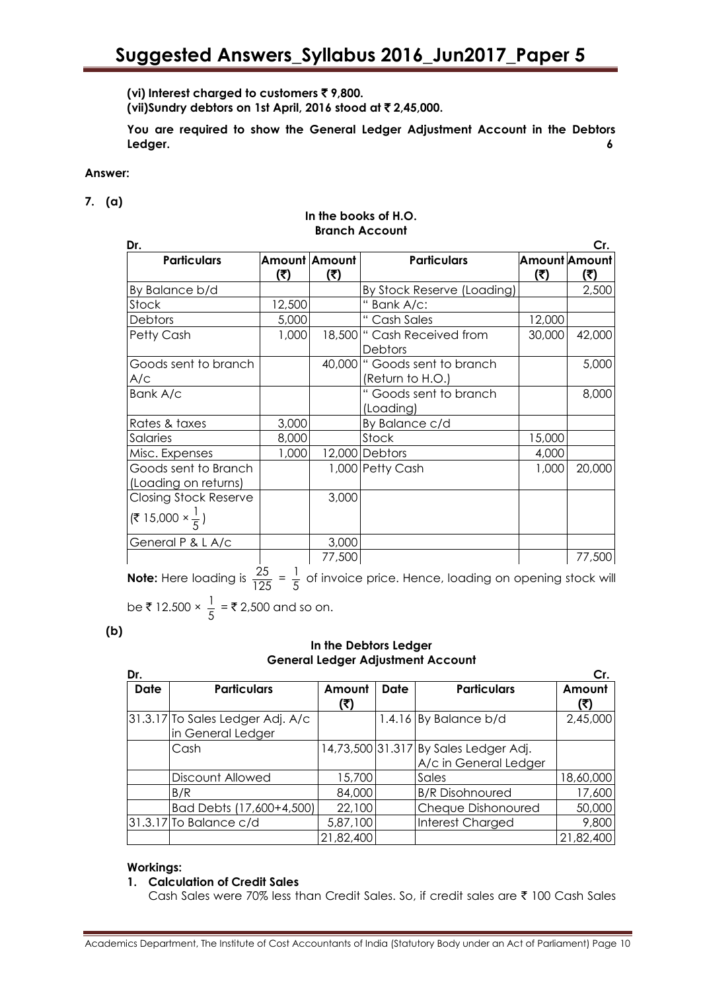**(vi) Interest charged to customers** ` **9,800.**

**(vii)Sundry debtors on 1st April, 2016 stood at** ` **2,45,000.**

**You are required to show the General Ledger Adjustment Account in the Debtors Ledger. 6**

# **Answer:**

**7. (a)**

### **In the books of H.O. Branch Account**

| Dr.                                                                     |        |                      |                                                    |                             | Cr.    |
|-------------------------------------------------------------------------|--------|----------------------|----------------------------------------------------|-----------------------------|--------|
| <b>Particulars</b>                                                      | (3)    | Amount Amount<br>(₹) | <b>Particulars</b>                                 | <b>Amount Amount</b><br>(5) | (5)    |
| By Balance b/d                                                          |        |                      | By Stock Reserve (Loading)                         |                             | 2,500  |
| Stock                                                                   | 12,500 |                      | " Bank A/c:                                        |                             |        |
| Debtors                                                                 | 5,000  |                      | " Cash Sales                                       | 12,000                      |        |
| Petty Cash                                                              | 1,000  |                      | 18,500   " Cash Received from<br>Debtors           | 30,000                      | 42,000 |
| Goods sent to branch<br>A/c                                             |        |                      | 40,000   "Goods sent to branch<br>(Return to H.O.) |                             | 5,000  |
| Bank A/c                                                                |        |                      | " Goods sent to branch<br>(Loading)                |                             | 8,000  |
| Rates & taxes                                                           | 3,000  |                      | By Balance c/d                                     |                             |        |
| Salaries                                                                | 8,000  |                      | Stock                                              | 15,000                      |        |
| Misc. Expenses                                                          | 1,000  |                      | 12,000 Debtors                                     | 4,000                       |        |
| Goods sent to Branch<br>(Loading on returns)                            |        |                      | 1,000 Petty Cash                                   | 1,000                       | 20,000 |
| <b>Closing Stock Reserve</b><br>$(\frac{2}{5}$ 15,000 × $\frac{1}{5}$ ) |        | 3,000                |                                                    |                             |        |
| General P & L A/c                                                       |        | 3,000                |                                                    |                             |        |
|                                                                         |        | 77,500               |                                                    |                             | 77,500 |

**Note:** Here loading is  $\frac{25}{100}$  $\frac{25}{125} = \frac{1}{5}$  $\frac{1}{5}$  of invoice price. Hence, loading on opening stock will be  $\bar{\tau}$  12.500  $\times \frac{1}{5}$  $\frac{1}{5}$  = ₹ 2,500 and so on.

**(b)**

# **In the Debtors Ledger General Ledger Adjustment Account**

| Dr.         |                                                       |               |             |                                                                | Cr.           |
|-------------|-------------------------------------------------------|---------------|-------------|----------------------------------------------------------------|---------------|
| <b>Date</b> | <b>Particulars</b>                                    | Amount<br>(₹) | <b>Date</b> | <b>Particulars</b>                                             | Amount<br>(₹) |
|             | 31.3.17 To Sales Ledger Adj. A/c<br>in General Ledger |               |             | $1.4.16$ By Balance b/d                                        | 2,45,000      |
|             | Cash                                                  |               |             | 14,73,500 31.317 By Sales Ledger Adj.<br>A/c in General Ledger |               |
|             | Discount Allowed                                      | 15,700        |             | Sales                                                          | 18,60,000     |
|             | B/R                                                   | 84,000        |             | <b>B/R Disohnoured</b>                                         | 17,600        |
|             | Bad Debts (17,600+4,500)                              | 22,100        |             | Cheque Dishonoured                                             | 50,000        |
|             | $31.3.17$ To Balance c/d                              | 5,87,100      |             | <b>Interest Charged</b>                                        | 9,800         |
|             |                                                       | 21,82,400     |             |                                                                | 21,82,400     |

# **Workings:**

# **1. Calculation of Credit Sales**

Cash Sales were 70% less than Credit Sales. So, if credit sales are ₹ 100 Cash Sales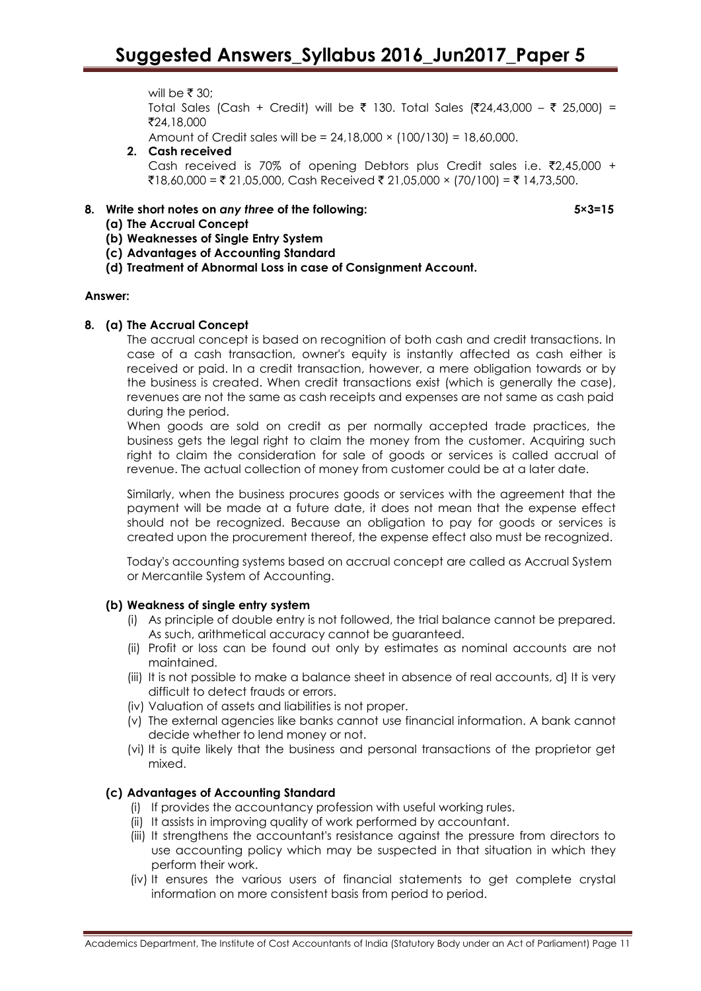will be  $\bar{z}$  30; Total Sales (Cash + Credit) will be ₹ 130. Total Sales (₹24,43,000 – ₹ 25,000) = `24,18,000 Amount of Credit sales will be = 24,18,000 × (100/130) = 18,60,000.

- 
- **2. Cash received**  Cash received is 70% of opening Debtors plus Credit sales i.e.  $\overline{2}2,45,000 +$ ₹18,60,000 = ₹ 21,05,000, Cash Received ₹ 21,05,000 × (70/100) = ₹ 14,73,500.

# **8. Write short notes on** *any three* **of the following: 5×3=15**

- **(a) The Accrual Concept**
- **(b) Weaknesses of Single Entry System**
- **(c) Advantages of Accounting Standard**
- **(d) Treatment of Abnormal Loss in case of Consignment Account.**

#### **Answer:**

# **8. (a) The Accrual Concept**

The accrual concept is based on recognition of both cash and credit transactions. In case of a cash transaction, owner's equity is instantly affected as cash either is received or paid. In a credit transaction, however, a mere obligation towards or by the business is created. When credit transactions exist (which is generally the case), revenues are not the same as cash receipts and expenses are not same as cash paid during the period.

When goods are sold on credit as per normally accepted trade practices, the business gets the legal right to claim the money from the customer. Acquiring such right to claim the consideration for sale of goods or services is called accrual of revenue. The actual collection of money from customer could be at a later date.

Similarly, when the business procures goods or services with the agreement that the payment will be made at a future date, it does not mean that the expense effect should not be recognized. Because an obligation to pay for goods or services is created upon the procurement thereof, the expense effect also must be recognized.

Today's accounting systems based on accrual concept are called as Accrual System or Mercantile System of Accounting.

# **(b) Weakness of single entry system**

- (i) As principle of double entry is not followed, the trial balance cannot be prepared. As such, arithmetical accuracy cannot be guaranteed.
- (ii) Profit or loss can be found out only by estimates as nominal accounts are not maintained.
- (iii) It is not possible to make a balance sheet in absence of real accounts, d] It is very difficult to detect frauds or errors.
- (iv) Valuation of assets and liabilities is not proper.
- (v) The external agencies like banks cannot use financial information. A bank cannot decide whether to lend money or not.
- (vi) It is quite likely that the business and personal transactions of the proprietor get mixed.

# **(c) Advantages of Accounting Standard**

- (i) If provides the accountancy profession with useful working rules.
- (ii) It assists in improving quality of work performed by accountant.
- (iii) It strengthens the accountant's resistance against the pressure from directors to use accounting policy which may be suspected in that situation in which they perform their work.
- (iv) It ensures the various users of financial statements to get complete crystal information on more consistent basis from period to period.